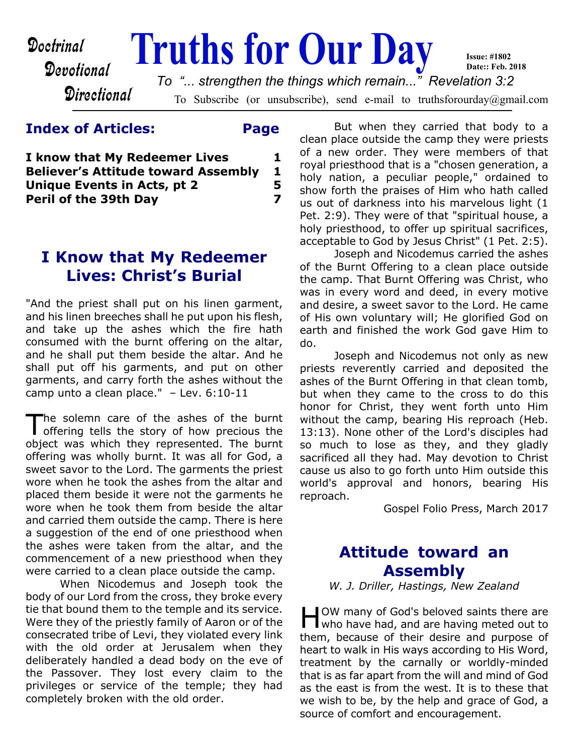

# **Index of Articles: Page**

**I know that My Redeemer Lives 1 Believer's Attitude toward Assembly 1 Unique Events in Acts, pt 2 5 Peril of the 39th Day 7** 

# **I Know that My Redeemer Lives: Christ's Burial**

"And the priest shall put on his linen garment, and his linen breeches shall he put upon his flesh, and take up the ashes which the fire hath consumed with the burnt offering on the altar, and he shall put them beside the altar. And he shall put off his garments, and put on other garments, and carry forth the ashes without the camp unto a clean place." – Lev. 6:10-11

The solemn care of the ashes of the burnt<br>offering tells the story of how precious the offering tells the story of how precious the object was which they represented. The burnt offering was wholly burnt. It was all for God, a sweet savor to the Lord. The garments the priest wore when he took the ashes from the altar and placed them beside it were not the garments he wore when he took them from beside the altar and carried them outside the camp. There is here a suggestion of the end of one priesthood when the ashes were taken from the altar, and the commencement of a new priesthood when they were carried to a clean place outside the camp.

 When Nicodemus and Joseph took the body of our Lord from the cross, they broke every tie that bound them to the temple and its service. Were they of the priestly family of Aaron or of the consecrated tribe of Levi, they violated every link with the old order at Jerusalem when they deliberately handled a dead body on the eve of the Passover. They lost every claim to the privileges or service of the temple; they had completely broken with the old order.

 But when they carried that body to a clean place outside the camp they were priests of a new order. They were members of that royal priesthood that is a "chosen generation, a holy nation, a peculiar people," ordained to show forth the praises of Him who hath called us out of darkness into his marvelous light (1 Pet. 2:9). They were of that "spiritual house, a holy priesthood, to offer up spiritual sacrifices, acceptable to God by Jesus Christ" (1 Pet. 2:5).

 Joseph and Nicodemus carried the ashes of the Burnt Offering to a clean place outside the camp. That Burnt Offering was Christ, who was in every word and deed, in every motive and desire, a sweet savor to the Lord. He came of His own voluntary will; He glorified God on earth and finished the work God gave Him to do.

 Joseph and Nicodemus not only as new priests reverently carried and deposited the ashes of the Burnt Offering in that clean tomb, but when they came to the cross to do this honor for Christ, they went forth unto Him without the camp, bearing His reproach (Heb. 13:13). None other of the Lord's disciples had so much to lose as they, and they gladly sacrificed all they had. May devotion to Christ cause us also to go forth unto Him outside this world's approval and honors, bearing His reproach.

Gospel Folio Press, March 2017

# **Attitude toward an Assembly**

*W. J. Driller, Hastings, New Zealand*

Now many of God's beloved saints there are who have had, and are having meted out to OW many of God's beloved saints there are them, because of their desire and purpose of heart to walk in His ways according to His Word, treatment by the carnally or worldly-minded that is as far apart from the will and mind of God as the east is from the west. It is to these that we wish to be, by the help and grace of God, a source of comfort and encouragement.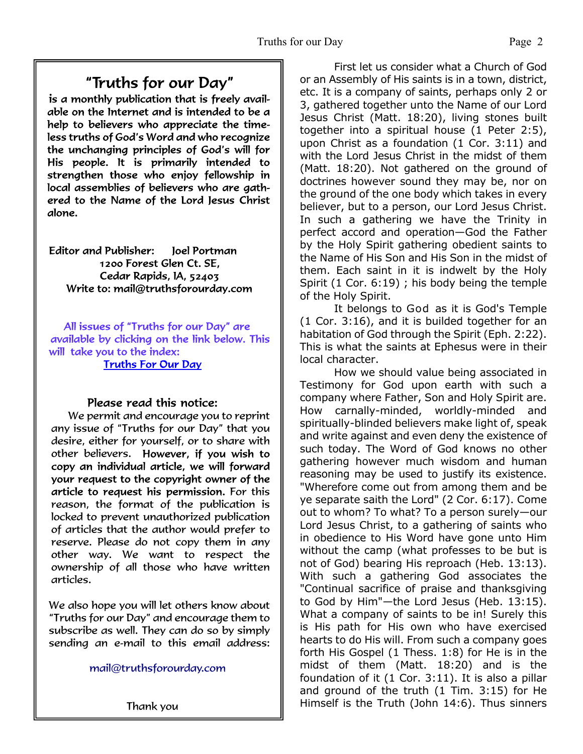# "Truths for our Day"

is a monthly publication that is freely available on the Internet and is intended to be a help to believers who appreciate the timeless truths of God's Word and who recognize the unchanging principles of God's will for His people. It is primarily intended to strengthen those who enjoy fellowship in local assemblies of believers who are gathered to the Name of the Lord Jesus Christ alone.

Editor and Publisher: loel Portman 1200 Forest Glen Ct. SE. Cedar Rapids, IA, 52403 Write to: mail@truthsforourday.com

All issues of "Truths for our Day" are available by clicking on the link below. This will take you to the index: **Truths For Our Day** 

# Please read this notice:

We permit and encourage you to reprint any issue of "Truths for our Day" that you desire, either for yourself, or to share with other believers. However, if you wish to<br>copy an individual article, we will forward your request to the copyright owner of the article to request his permission. For this reason, the format of the publication is locked to prevent unauthorized publication of articles that the author would prefer to reserve. Please do not copy them in any other way. We want to respect the ownership of all those who have written articles.

 We also hope you will let others know about "Truths for our Day" and encourage them to subscribe as well. They can do so by simply sending an e-mail to this email address:

mail@truthsforourday.com

Thank you

 First let us consider what a Church of God or an Assembly of His saints is in a town, district, etc. It is a company of saints, perhaps only 2 or 3, gathered together unto the Name of our Lord Jesus Christ (Matt. 18:20), living stones built together into a spiritual house (1 Peter 2:5), upon Christ as a foundation (1 Cor. 3:11) and with the Lord Jesus Christ in the midst of them (Matt. 18:20). Not gathered on the ground of doctrines however sound they may be, nor on the ground of the one body which takes in every believer, but to a person, our Lord Jesus Christ. In such a gathering we have the Trinity in perfect accord and operation—God the Father by the Holy Spirit gathering obedient saints to the Name of His Son and His Son in the midst of them. Each saint in it is indwelt by the Holy Spirit (1 Cor. 6:19) ; his body being the temple of the Holy Spirit.

 It belongs to God as it is God's Temple (1 Cor. 3:16), and it is builded together for an habitation of God through the Spirit (Eph. 2:22). This is what the saints at Ephesus were in their local character.

 How we should value being associated in Testimony for God upon earth with such a company where Father, Son and Holy Spirit are. How carnally-minded, worldly-minded and spiritually-blinded believers make light of, speak and write against and even deny the existence of such today. The Word of God knows no other gathering however much wisdom and human reasoning may be used to justify its existence. "Wherefore come out from among them and be ye separate saith the Lord" (2 Cor. 6:17). Come out to whom? To what? To a person surely—our Lord Jesus Christ, to a gathering of saints who in obedience to His Word have gone unto Him without the camp (what professes to be but is not of God) bearing His reproach (Heb. 13:13). With such a gathering God associates the "Continual sacrifice of praise and thanksgiving to God by Him"—the Lord Jesus (Heb. 13:15). What a company of saints to be in! Surely this is His path for His own who have exercised hearts to do His will. From such a company goes forth His Gospel (1 Thess. 1:8) for He is in the midst of them (Matt. 18:20) and is the foundation of it (1 Cor. 3:11). It is also a pillar and ground of the truth (1 Tim. 3:15) for He Himself is the Truth (John 14:6). Thus sinners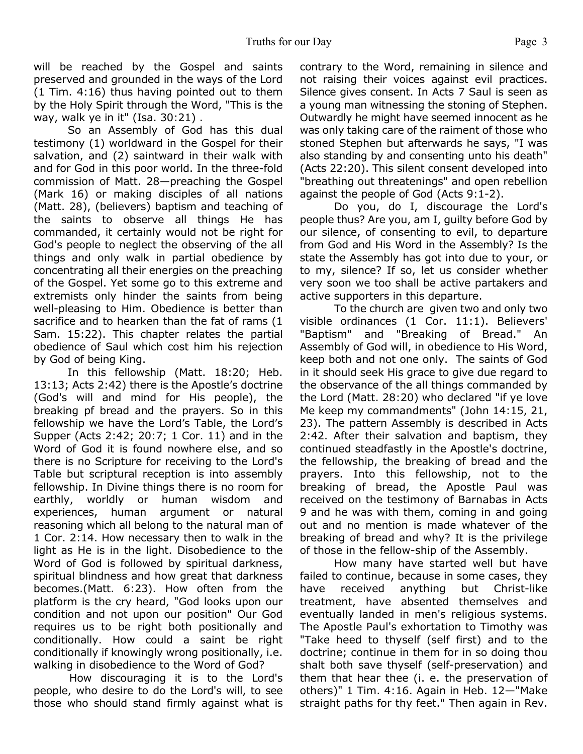will be reached by the Gospel and saints preserved and grounded in the ways of the Lord (1 Tim. 4:16) thus having pointed out to them by the Holy Spirit through the Word, "This is the way, walk ye in it" (Isa. 30:21) .

 So an Assembly of God has this dual testimony (1) worldward in the Gospel for their salvation, and (2) saintward in their walk with and for God in this poor world. In the three-fold commission of Matt. 28—preaching the Gospel (Mark 16) or making disciples of all nations (Matt. 28), (believers) baptism and teaching of the saints to observe all things He has commanded, it certainly would not be right for God's people to neglect the observing of the all things and only walk in partial obedience by concentrating all their energies on the preaching of the Gospel. Yet some go to this extreme and extremists only hinder the saints from being well-pleasing to Him. Obedience is better than sacrifice and to hearken than the fat of rams (1 Sam. 15:22). This chapter relates the partial obedience of Saul which cost him his rejection by God of being King.

 In this fellowship (Matt. 18:20; Heb. 13:13; Acts 2:42) there is the Apostle's doctrine (God's will and mind for His people), the breaking pf bread and the prayers. So in this fellowship we have the Lord's Table, the Lord's Supper (Acts 2:42; 20:7; 1 Cor. 11) and in the Word of God it is found nowhere else, and so there is no Scripture for receiving to the Lord's Table but scriptural reception is into assembly fellowship. In Divine things there is no room for earthly, worldly or human wisdom and experiences, human argument or natural reasoning which all belong to the natural man of 1 Cor. 2:14. How necessary then to walk in the light as He is in the light. Disobedience to the Word of God is followed by spiritual darkness, spiritual blindness and how great that darkness becomes.(Matt. 6:23). How often from the platform is the cry heard, "God looks upon our condition and not upon our position" Our God requires us to be right both positionally and conditionally. How could a saint be right conditionally if knowingly wrong positionally, i.e. walking in disobedience to the Word of God?

 How discouraging it is to the Lord's people, who desire to do the Lord's will, to see those who should stand firmly against what is contrary to the Word, remaining in silence and not raising their voices against evil practices. Silence gives consent. In Acts 7 Saul is seen as a young man witnessing the stoning of Stephen. Outwardly he might have seemed innocent as he was only taking care of the raiment of those who stoned Stephen but afterwards he says, "I was also standing by and consenting unto his death" (Acts 22:20). This silent consent developed into "breathing out threatenings" and open rebellion against the people of God (Acts 9:1-2).

 Do you, do I, discourage the Lord's people thus? Are you, am I, guilty before God by our silence, of consenting to evil, to departure from God and His Word in the Assembly? Is the state the Assembly has got into due to your, or to my, silence? If so, let us consider whether very soon we too shall be active partakers and active supporters in this departure.

 To the church are given two and only two visible ordinances (1 Cor. 11:1). Believers' "Baptism" and "Breaking of Bread." An Assembly of God will, in obedience to His Word, keep both and not one only. The saints of God in it should seek His grace to give due regard to the observance of the all things commanded by the Lord (Matt. 28:20) who declared "if ye love Me keep my commandments" (John 14:15, 21, 23). The pattern Assembly is described in Acts 2:42. After their salvation and baptism, they continued steadfastly in the Apostle's doctrine, the fellowship, the breaking of bread and the prayers. Into this fellowship, not to the breaking of bread, the Apostle Paul was received on the testimony of Barnabas in Acts 9 and he was with them, coming in and going out and no mention is made whatever of the breaking of bread and why? It is the privilege of those in the fellow-ship of the Assembly.

 How many have started well but have failed to continue, because in some cases, they have received anything but Christ-like treatment, have absented themselves and eventually landed in men's religious systems. The Apostle Paul's exhortation to Timothy was "Take heed to thyself (self first) and to the doctrine; continue in them for in so doing thou shalt both save thyself (self-preservation) and them that hear thee (i. e. the preservation of others)" 1 Tim. 4:16. Again in Heb. 12—"Make straight paths for thy feet." Then again in Rev.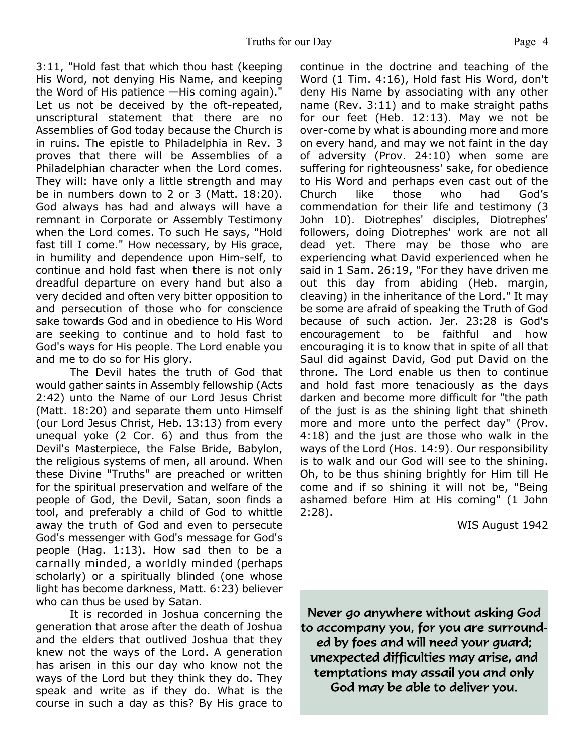3:11, "Hold fast that which thou hast (keeping His Word, not denying His Name, and keeping the Word of His patience —His coming again)." Let us not be deceived by the oft-repeated, unscriptural statement that there are no Assemblies of God today because the Church is in ruins. The epistle to Philadelphia in Rev. 3 proves that there will be Assemblies of a Philadelphian character when the Lord comes. They will: have only a little strength and may be in numbers down to 2 or 3 (Matt. 18:20). God always has had and always will have a remnant in Corporate or Assembly Testimony when the Lord comes. To such He says, "Hold fast till I come." How necessary, by His grace, in humility and dependence upon Him-self, to continue and hold fast when there is not only dreadful departure on every hand but also a very decided and often very bitter opposition to and persecution of those who for conscience sake towards God and in obedience to His Word are seeking to continue and to hold fast to God's ways for His people. The Lord enable you and me to do so for His glory.

 The Devil hates the truth of God that would gather saints in Assembly fellowship (Acts 2:42) unto the Name of our Lord Jesus Christ (Matt. 18:20) and separate them unto Himself (our Lord Jesus Christ, Heb. 13:13) from every unequal yoke (2 Cor. 6) and thus from the Devil's Masterpiece, the False Bride, Babylon, the religious systems of men, all around. When these Divine "Truths" are preached or written for the spiritual preservation and welfare of the people of God, the Devil, Satan, soon finds a tool, and preferably a child of God to whittle away the truth of God and even to persecute God's messenger with God's message for God's people (Hag. 1:13). How sad then to be a carnally minded, a worldly minded (perhaps scholarly) or a spiritually blinded (one whose light has become darkness, Matt. 6:23) believer who can thus be used by Satan.

 It is recorded in Joshua concerning the generation that arose after the death of Joshua and the elders that outlived Joshua that they knew not the ways of the Lord. A generation has arisen in this our day who know not the ways of the Lord but they think they do. They speak and write as if they do. What is the course in such a day as this? By His grace to continue in the doctrine and teaching of the Word (1 Tim. 4:16), Hold fast His Word, don't deny His Name by associating with any other name (Rev. 3:11) and to make straight paths for our feet (Heb. 12:13). May we not be over-come by what is abounding more and more on every hand, and may we not faint in the day of adversity (Prov. 24:10) when some are suffering for righteousness' sake, for obedience to His Word and perhaps even cast out of the Church like those who had God's commendation for their life and testimony (3 John 10). Diotrephes' disciples, Diotrephes' followers, doing Diotrephes' work are not all dead yet. There may be those who are experiencing what David experienced when he said in 1 Sam. 26:19, "For they have driven me out this day from abiding (Heb. margin, cleaving) in the inheritance of the Lord." It may be some are afraid of speaking the Truth of God because of such action. Jer. 23:28 is God's encouragement to be faithful and how encouraging it is to know that in spite of all that Saul did against David, God put David on the throne. The Lord enable us then to continue and hold fast more tenaciously as the days darken and become more difficult for "the path of the just is as the shining light that shineth more and more unto the perfect day" (Prov. 4:18) and the just are those who walk in the ways of the Lord (Hos. 14:9). Our responsibility is to walk and our God will see to the shining. Oh, to be thus shining brightly for Him till He come and if so shining it will not be, "Being ashamed before Him at His coming" (1 John 2:28).

WIS August 1942

Never go anywhere without asking God to accompany you, for you are surrounded by foes and will need your guard; unexpected difficulties may arise, and temptations may assail you and only God may be able to deliver you.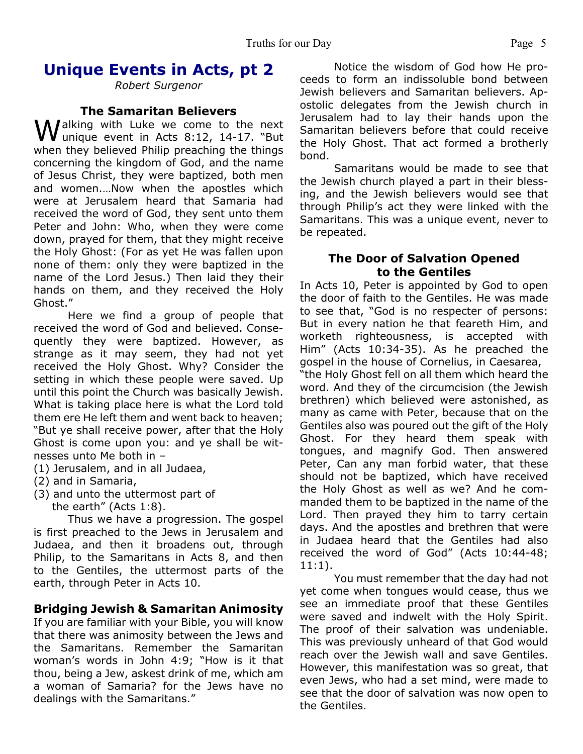# **Unique Events in Acts, pt 2**

*Robert Surgenor*

#### **The Samaritan Believers**

**Malking with Luke we come to the next** unique event in Acts 8:12, 14-17. "But when they believed Philip preaching the things concerning the kingdom of God, and the name of Jesus Christ, they were baptized, both men and women.…Now when the apostles which were at Jerusalem heard that Samaria had received the word of God, they sent unto them Peter and John: Who, when they were come down, prayed for them, that they might receive the Holy Ghost: (For as yet He was fallen upon none of them: only they were baptized in the name of the Lord Jesus.) Then laid they their hands on them, and they received the Holy Ghost."

Here we find a group of people that received the word of God and believed. Consequently they were baptized. However, as strange as it may seem, they had not yet received the Holy Ghost. Why? Consider the setting in which these people were saved. Up until this point the Church was basically Jewish. What is taking place here is what the Lord told them ere He left them and went back to heaven; "But ye shall receive power, after that the Holy Ghost is come upon you: and ye shall be witnesses unto Me both in –

(1) Jerusalem, and in all Judaea,

- (2) and in Samaria,
- (3) and unto the uttermost part of the earth" (Acts 1:8).

Thus we have a progression. The gospel is first preached to the Jews in Jerusalem and Judaea, and then it broadens out, through Philip, to the Samaritans in Acts 8, and then to the Gentiles, the uttermost parts of the earth, through Peter in Acts 10.

# **Bridging Jewish & Samaritan Animosity**

If you are familiar with your Bible, you will know that there was animosity between the Jews and the Samaritans. Remember the Samaritan woman's words in John 4:9; "How is it that thou, being a Jew, askest drink of me, which am a woman of Samaria? for the Jews have no dealings with the Samaritans."

Notice the wisdom of God how He proceeds to form an indissoluble bond between Jewish believers and Samaritan believers. Apostolic delegates from the Jewish church in Jerusalem had to lay their hands upon the Samaritan believers before that could receive the Holy Ghost. That act formed a brotherly bond.

Samaritans would be made to see that the Jewish church played a part in their blessing, and the Jewish believers would see that through Philip's act they were linked with the Samaritans. This was a unique event, never to be repeated.

#### **The Door of Salvation Opened to the Gentiles**

In Acts 10, Peter is appointed by God to open the door of faith to the Gentiles. He was made to see that, "God is no respecter of persons: But in every nation he that feareth Him, and worketh righteousness, is accepted with Him" (Acts 10:34-35). As he preached the gospel in the house of Cornelius, in Caesarea,

"the Holy Ghost fell on all them which heard the word. And they of the circumcision (the Jewish brethren) which believed were astonished, as many as came with Peter, because that on the Gentiles also was poured out the gift of the Holy Ghost. For they heard them speak with tongues, and magnify God. Then answered Peter, Can any man forbid water, that these should not be baptized, which have received the Holy Ghost as well as we? And he commanded them to be baptized in the name of the Lord. Then prayed they him to tarry certain days. And the apostles and brethren that were in Judaea heard that the Gentiles had also received the word of God" (Acts 10:44-48; 11:1).

You must remember that the day had not yet come when tongues would cease, thus we see an immediate proof that these Gentiles were saved and indwelt with the Holy Spirit. The proof of their salvation was undeniable. This was previously unheard of that God would reach over the Jewish wall and save Gentiles. However, this manifestation was so great, that even Jews, who had a set mind, were made to see that the door of salvation was now open to the Gentiles.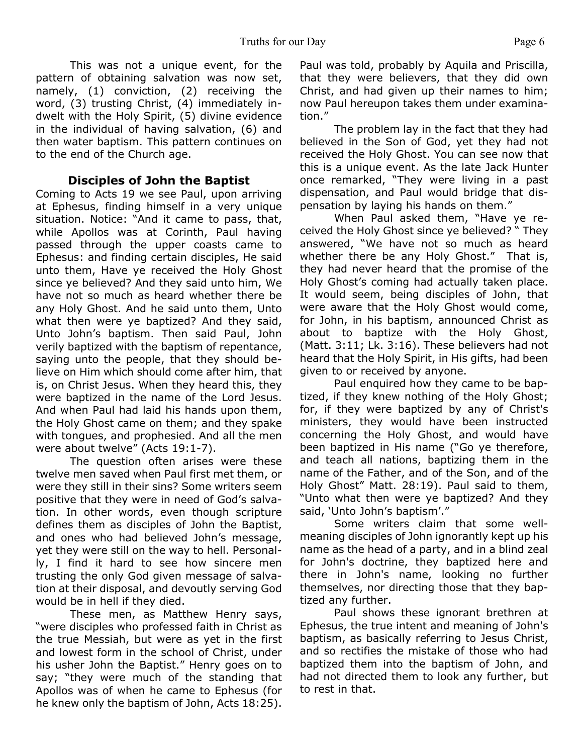This was not a unique event, for the pattern of obtaining salvation was now set, namely, (1) conviction, (2) receiving the word, (3) trusting Christ, (4) immediately indwelt with the Holy Spirit, (5) divine evidence in the individual of having salvation, (6) and then water baptism. This pattern continues on to the end of the Church age.

#### **Disciples of John the Baptist**

Coming to Acts 19 we see Paul, upon arriving at Ephesus, finding himself in a very unique situation. Notice: "And it came to pass, that, while Apollos was at Corinth, Paul having passed through the upper coasts came to Ephesus: and finding certain disciples, He said unto them, Have ye received the Holy Ghost since ye believed? And they said unto him, We have not so much as heard whether there be any Holy Ghost. And he said unto them, Unto what then were ye baptized? And they said, Unto John's baptism. Then said Paul, John verily baptized with the baptism of repentance, saying unto the people, that they should believe on Him which should come after him, that is, on Christ Jesus. When they heard this, they were baptized in the name of the Lord Jesus. And when Paul had laid his hands upon them, the Holy Ghost came on them; and they spake with tongues, and prophesied. And all the men were about twelve" (Acts 19:1-7).

The question often arises were these twelve men saved when Paul first met them, or were they still in their sins? Some writers seem positive that they were in need of God's salvation. In other words, even though scripture defines them as disciples of John the Baptist, and ones who had believed John's message, yet they were still on the way to hell. Personally, I find it hard to see how sincere men trusting the only God given message of salvation at their disposal, and devoutly serving God would be in hell if they died.

These men, as Matthew Henry says, "were disciples who professed faith in Christ as the true Messiah, but were as yet in the first and lowest form in the school of Christ, under his usher John the Baptist." Henry goes on to say; "they were much of the standing that Apollos was of when he came to Ephesus (for he knew only the baptism of John, Acts 18:25).

Paul was told, probably by Aquila and Priscilla, that they were believers, that they did own Christ, and had given up their names to him; now Paul hereupon takes them under examination."

The problem lay in the fact that they had believed in the Son of God, yet they had not received the Holy Ghost. You can see now that this is a unique event. As the late Jack Hunter once remarked, "They were living in a past dispensation, and Paul would bridge that dispensation by laying his hands on them."

When Paul asked them, "Have ye received the Holy Ghost since ye believed? " They answered, "We have not so much as heard whether there be any Holy Ghost." That is, they had never heard that the promise of the Holy Ghost's coming had actually taken place. It would seem, being disciples of John, that were aware that the Holy Ghost would come, for John, in his baptism, announced Christ as about to baptize with the Holy Ghost, (Matt. 3:11; Lk. 3:16). These believers had not heard that the Holy Spirit, in His gifts, had been given to or received by anyone.

Paul enquired how they came to be baptized, if they knew nothing of the Holy Ghost; for, if they were baptized by any of Christ's ministers, they would have been instructed concerning the Holy Ghost, and would have been baptized in His name ("Go ye therefore, and teach all nations, baptizing them in the name of the Father, and of the Son, and of the Holy Ghost" Matt. 28:19). Paul said to them, "Unto what then were ye baptized? And they said, 'Unto John's baptism'."

Some writers claim that some wellmeaning disciples of John ignorantly kept up his name as the head of a party, and in a blind zeal for John's doctrine, they baptized here and there in John's name, looking no further themselves, nor directing those that they baptized any further.

Paul shows these ignorant brethren at Ephesus, the true intent and meaning of John's baptism, as basically referring to Jesus Christ, and so rectifies the mistake of those who had baptized them into the baptism of John, and had not directed them to look any further, but to rest in that.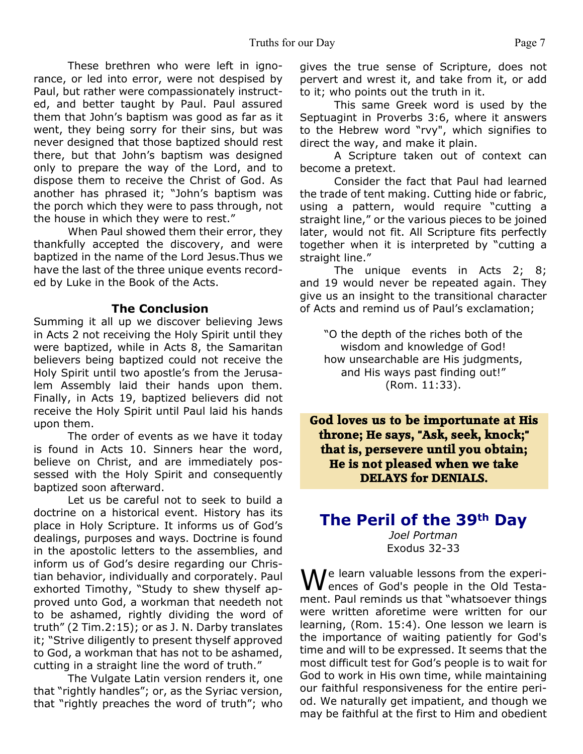These brethren who were left in ignorance, or led into error, were not despised by Paul, but rather were compassionately instructed, and better taught by Paul. Paul assured them that John's baptism was good as far as it went, they being sorry for their sins, but was never designed that those baptized should rest there, but that John's baptism was designed only to prepare the way of the Lord, and to dispose them to receive the Christ of God. As another has phrased it; "John's baptism was the porch which they were to pass through, not the house in which they were to rest."

When Paul showed them their error, they thankfully accepted the discovery, and were baptized in the name of the Lord Jesus.Thus we have the last of the three unique events recorded by Luke in the Book of the Acts.

# **The Conclusion**

Summing it all up we discover believing Jews in Acts 2 not receiving the Holy Spirit until they were baptized, while in Acts 8, the Samaritan believers being baptized could not receive the Holy Spirit until two apostle's from the Jerusalem Assembly laid their hands upon them. Finally, in Acts 19, baptized believers did not receive the Holy Spirit until Paul laid his hands upon them.

The order of events as we have it today is found in Acts 10. Sinners hear the word, believe on Christ, and are immediately possessed with the Holy Spirit and consequently baptized soon afterward.

Let us be careful not to seek to build a doctrine on a historical event. History has its place in Holy Scripture. It informs us of God's dealings, purposes and ways. Doctrine is found in the apostolic letters to the assemblies, and inform us of God's desire regarding our Christian behavior, individually and corporately. Paul exhorted Timothy, "Study to shew thyself approved unto God, a workman that needeth not to be ashamed, rightly dividing the word of truth" (2 Tim.2:15); or as J. N. Darby translates it; "Strive diligently to present thyself approved to God, a workman that has not to be ashamed, cutting in a straight line the word of truth."

The Vulgate Latin version renders it, one that "rightly handles"; or, as the Syriac version, that "rightly preaches the word of truth"; who gives the true sense of Scripture, does not pervert and wrest it, and take from it, or add to it; who points out the truth in it.

This same Greek word is used by the Septuagint in Proverbs 3:6, where it answers to the Hebrew word "rvy", which signifies to direct the way, and make it plain.

A Scripture taken out of context can become a pretext.

Consider the fact that Paul had learned the trade of tent making. Cutting hide or fabric, using a pattern, would require "cutting a straight line," or the various pieces to be joined later, would not fit. All Scripture fits perfectly together when it is interpreted by "cutting a straight line."

The unique events in Acts 2; 8; and 19 would never be repeated again. They give us an insight to the transitional character of Acts and remind us of Paul's exclamation;

"O the depth of the riches both of the wisdom and knowledge of God! how unsearchable are His judgments, and His ways past finding out!" (Rom. 11:33).

**God loves us to be importunate at His throne; He says, "Ask, seek, knock;" that is, persevere until you obtain; He is not pleased when we take DELAYS for DENIALS.**

# **The Peril of the 39th Day**

*Joel Portman* Exodus 32-33

We learn valuable lessons from the experi-<br>Wences of God's people in the Old Testament. Paul reminds us that "whatsoever things were written aforetime were written for our learning, (Rom. 15:4). One lesson we learn is the importance of waiting patiently for God's time and will to be expressed. It seems that the most difficult test for God's people is to wait for God to work in His own time, while maintaining our faithful responsiveness for the entire period. We naturally get impatient, and though we may be faithful at the first to Him and obedient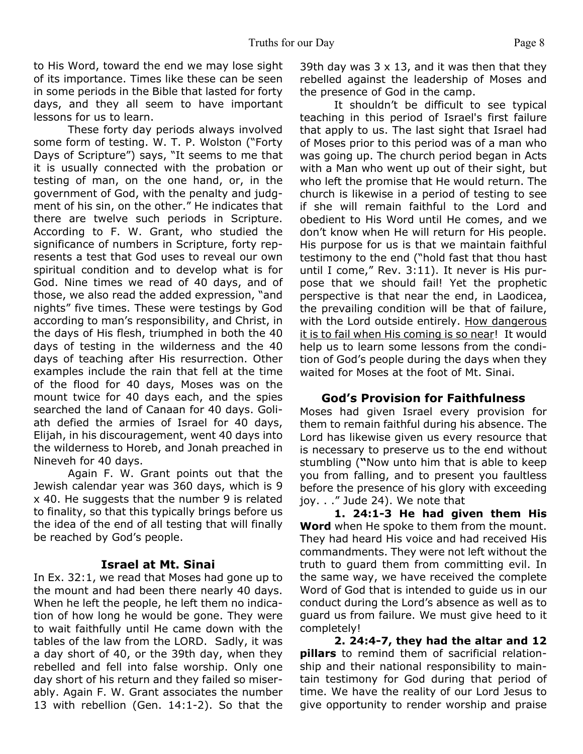to His Word, toward the end we may lose sight of its importance. Times like these can be seen in some periods in the Bible that lasted for forty days, and they all seem to have important lessons for us to learn.

 These forty day periods always involved some form of testing. W. T. P. Wolston ("Forty Days of Scripture") says, "It seems to me that it is usually connected with the probation or testing of man, on the one hand, or, in the government of God, with the penalty and judgment of his sin, on the other." He indicates that there are twelve such periods in Scripture. According to F. W. Grant, who studied the significance of numbers in Scripture, forty represents a test that God uses to reveal our own spiritual condition and to develop what is for God. Nine times we read of 40 days, and of those, we also read the added expression, "and nights" five times. These were testings by God according to man's responsibility, and Christ, in the days of His flesh, triumphed in both the 40 days of testing in the wilderness and the 40 days of teaching after His resurrection. Other examples include the rain that fell at the time of the flood for 40 days, Moses was on the mount twice for 40 days each, and the spies searched the land of Canaan for 40 days. Goliath defied the armies of Israel for 40 days, Elijah, in his discouragement, went 40 days into the wilderness to Horeb, and Jonah preached in Nineveh for 40 days.

 Again F. W. Grant points out that the Jewish calendar year was 360 days, which is 9 x 40. He suggests that the number 9 is related to finality, so that this typically brings before us the idea of the end of all testing that will finally be reached by God's people.

#### **Israel at Mt. Sinai**

In Ex. 32:1, we read that Moses had gone up to the mount and had been there nearly 40 days. When he left the people, he left them no indication of how long he would be gone. They were to wait faithfully until He came down with the tables of the law from the LORD. Sadly, it was a day short of 40, or the 39th day, when they rebelled and fell into false worship. Only one day short of his return and they failed so miserably. Again F. W. Grant associates the number 13 with rebellion (Gen. 14:1-2). So that the

39th day was  $3 \times 13$ , and it was then that they rebelled against the leadership of Moses and the presence of God in the camp.

 It shouldn't be difficult to see typical teaching in this period of Israel's first failure that apply to us. The last sight that Israel had of Moses prior to this period was of a man who was going up. The church period began in Acts with a Man who went up out of their sight, but who left the promise that He would return. The church is likewise in a period of testing to see if she will remain faithful to the Lord and obedient to His Word until He comes, and we don't know when He will return for His people. His purpose for us is that we maintain faithful testimony to the end ("hold fast that thou hast until I come," Rev. 3:11). It never is His purpose that we should fail! Yet the prophetic perspective is that near the end, in Laodicea, the prevailing condition will be that of failure, with the Lord outside entirely. How dangerous it is to fail when His coming is so near! It would help us to learn some lessons from the condition of God's people during the days when they waited for Moses at the foot of Mt. Sinai.

# **God's Provision for Faithfulness**

Moses had given Israel every provision for them to remain faithful during his absence. The Lord has likewise given us every resource that is necessary to preserve us to the end without stumbling (**"**Now unto him that is able to keep you from falling, and to present you faultless before the presence of his glory with exceeding joy. . ." Jude 24). We note that

**1. 24:1-3 He had given them His Word** when He spoke to them from the mount. They had heard His voice and had received His commandments. They were not left without the truth to guard them from committing evil. In the same way, we have received the complete Word of God that is intended to guide us in our conduct during the Lord's absence as well as to guard us from failure. We must give heed to it completely!

**2. 24:4-7, they had the altar and 12 pillars** to remind them of sacrificial relationship and their national responsibility to maintain testimony for God during that period of time. We have the reality of our Lord Jesus to give opportunity to render worship and praise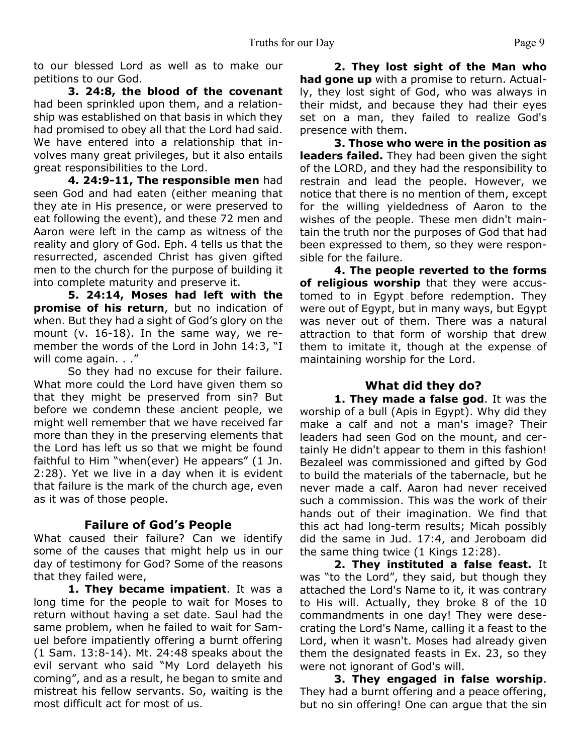to our blessed Lord as well as to make our petitions to our God.

**3. 24:8, the blood of the covenant** had been sprinkled upon them, and a relationship was established on that basis in which they had promised to obey all that the Lord had said. We have entered into a relationship that involves many great privileges, but it also entails great responsibilities to the Lord.

**4. 24:9-11, The responsible men** had seen God and had eaten (either meaning that they ate in His presence, or were preserved to eat following the event), and these 72 men and Aaron were left in the camp as witness of the reality and glory of God. Eph. 4 tells us that the resurrected, ascended Christ has given gifted men to the church for the purpose of building it into complete maturity and preserve it.

**5. 24:14, Moses had left with the promise of his return**, but no indication of when. But they had a sight of God's glory on the mount (v. 16-18). In the same way, we remember the words of the Lord in John 14:3, "I will come again. . ."

 So they had no excuse for their failure. What more could the Lord have given them so that they might be preserved from sin? But before we condemn these ancient people, we might well remember that we have received far more than they in the preserving elements that the Lord has left us so that we might be found faithful to Him "when(ever) He appears" (1 Jn. 2:28). Yet we live in a day when it is evident that failure is the mark of the church age, even as it was of those people.

# **Failure of God's People**

What caused their failure? Can we identify some of the causes that might help us in our day of testimony for God? Some of the reasons that they failed were,

**1. They became impatient**. It was a long time for the people to wait for Moses to return without having a set date. Saul had the same problem, when he failed to wait for Samuel before impatiently offering a burnt offering (1 Sam. 13:8-14). Mt. 24:48 speaks about the evil servant who said "My Lord delayeth his coming", and as a result, he began to smite and mistreat his fellow servants. So, waiting is the most difficult act for most of us.

**2. They lost sight of the Man who had gone up** with a promise to return. Actually, they lost sight of God, who was always in their midst, and because they had their eyes set on a man, they failed to realize God's presence with them.

**3. Those who were in the position as leaders failed.** They had been given the sight of the LORD, and they had the responsibility to restrain and lead the people. However, we notice that there is no mention of them, except for the willing yieldedness of Aaron to the wishes of the people. These men didn't maintain the truth nor the purposes of God that had been expressed to them, so they were responsible for the failure.

**4. The people reverted to the forms of religious worship** that they were accustomed to in Egypt before redemption. They were out of Egypt, but in many ways, but Egypt was never out of them. There was a natural attraction to that form of worship that drew them to imitate it, though at the expense of maintaining worship for the Lord.

# **What did they do?**

**1. They made a false god**. It was the worship of a bull (Apis in Egypt). Why did they make a calf and not a man's image? Their leaders had seen God on the mount, and certainly He didn't appear to them in this fashion! Bezaleel was commissioned and gifted by God to build the materials of the tabernacle, but he never made a calf. Aaron had never received such a commission. This was the work of their hands out of their imagination. We find that this act had long-term results; Micah possibly did the same in Jud. 17:4, and Jeroboam did the same thing twice (1 Kings 12:28).

**2. They instituted a false feast.** It was "to the Lord", they said, but though they attached the Lord's Name to it, it was contrary to His will. Actually, they broke 8 of the 10 commandments in one day! They were desecrating the Lord's Name, calling it a feast to the Lord, when it wasn't. Moses had already given them the designated feasts in Ex. 23, so they were not ignorant of God's will.

**3. They engaged in false worship**. They had a burnt offering and a peace offering, but no sin offering! One can argue that the sin